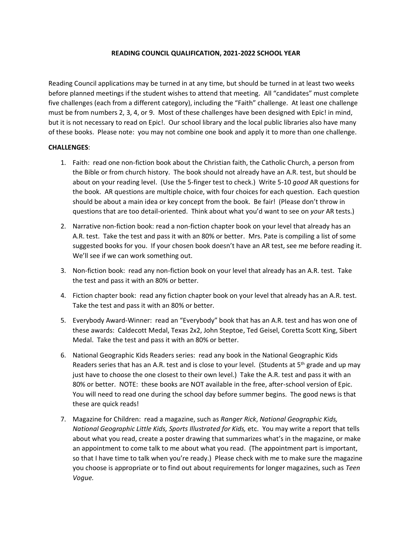## **READING COUNCIL QUALIFICATION, 2021-2022 SCHOOL YEAR**

Reading Council applications may be turned in at any time, but should be turned in at least two weeks before planned meetings if the student wishes to attend that meeting. All "candidates" must complete five challenges (each from a different category), including the "Faith" challenge. At least one challenge must be from numbers 2, 3, 4, or 9. Most of these challenges have been designed with Epic! in mind, but it is not necessary to read on Epic!. Our school library and the local public libraries also have many of these books. Please note: you may not combine one book and apply it to more than one challenge.

## **CHALLENGES**:

- 1. Faith: read one non-fiction book about the Christian faith, the Catholic Church, a person from the Bible or from church history. The book should not already have an A.R. test, but should be about on your reading level. (Use the 5-finger test to check.) Write 5-10 *good* AR questions for the book. AR questions are multiple choice, with four choices for each question. Each question should be about a main idea or key concept from the book. Be fair! (Please don't throw in questions that are too detail-oriented. Think about what you'd want to see on *your* AR tests.)
- 2. Narrative non-fiction book: read a non-fiction chapter book on your level that already has an A.R. test. Take the test and pass it with an 80% or better. Mrs. Pate is compiling a list of some suggested books for you. If your chosen book doesn't have an AR test, see me before reading it. We'll see if we can work something out.
- 3. Non-fiction book: read any non-fiction book on your level that already has an A.R. test. Take the test and pass it with an 80% or better.
- 4. Fiction chapter book: read any fiction chapter book on your level that already has an A.R. test. Take the test and pass it with an 80% or better.
- 5. Everybody Award-Winner: read an "Everybody" book that has an A.R. test and has won one of these awards: Caldecott Medal, Texas 2x2, John Steptoe, Ted Geisel, Coretta Scott King, Sibert Medal. Take the test and pass it with an 80% or better.
- 6. National Geographic Kids Readers series: read any book in the National Geographic Kids Readers series that has an A.R. test and is close to your level. (Students at  $5<sup>th</sup>$  grade and up may just have to choose the one closest to their own level.) Take the A.R. test and pass it with an 80% or better. NOTE: these books are NOT available in the free, after-school version of Epic. You will need to read one during the school day before summer begins. The good news is that these are quick reads!
- 7. Magazine for Children: read a magazine, such as *Ranger Rick*, *National Geographic Kids, National Geographic Little Kids, Sports Illustrated for Kids,* etc. You may write a report that tells about what you read, create a poster drawing that summarizes what's in the magazine, or make an appointment to come talk to me about what you read. (The appointment part is important, so that I have time to talk when you're ready.) Please check with me to make sure the magazine you choose is appropriate or to find out about requirements for longer magazines, such as *Teen Vogue.*